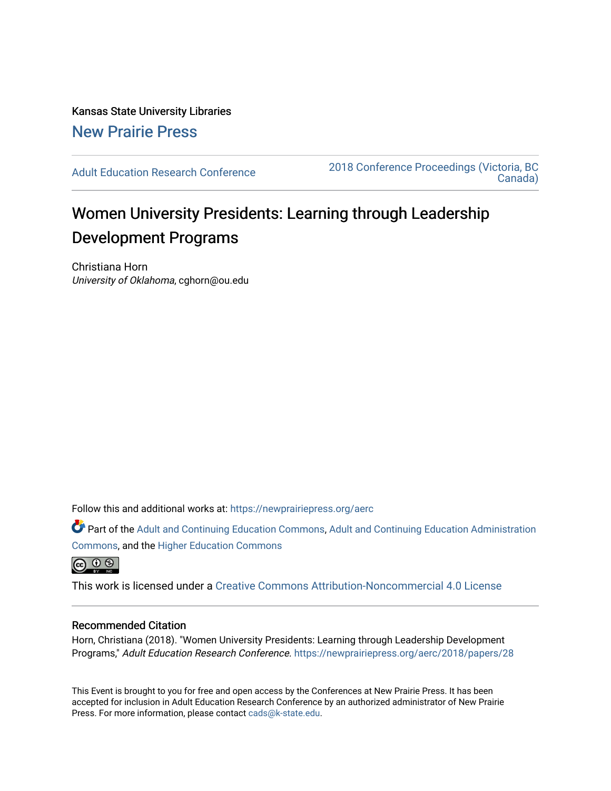Kansas State University Libraries [New Prairie Press](https://newprairiepress.org/) 

[Adult Education Research Conference](https://newprairiepress.org/aerc) [2018 Conference Proceedings \(Victoria, BC](https://newprairiepress.org/aerc/2018)  [Canada\)](https://newprairiepress.org/aerc/2018) 

# Women University Presidents: Learning through Leadership Development Programs

Christiana Horn University of Oklahoma, cghorn@ou.edu

Follow this and additional works at: [https://newprairiepress.org/aerc](https://newprairiepress.org/aerc?utm_source=newprairiepress.org%2Faerc%2F2018%2Fpapers%2F28&utm_medium=PDF&utm_campaign=PDFCoverPages)

Part of the [Adult and Continuing Education Commons,](http://network.bepress.com/hgg/discipline/1375?utm_source=newprairiepress.org%2Faerc%2F2018%2Fpapers%2F28&utm_medium=PDF&utm_campaign=PDFCoverPages) [Adult and Continuing Education Administration](http://network.bepress.com/hgg/discipline/789?utm_source=newprairiepress.org%2Faerc%2F2018%2Fpapers%2F28&utm_medium=PDF&utm_campaign=PDFCoverPages) [Commons](http://network.bepress.com/hgg/discipline/789?utm_source=newprairiepress.org%2Faerc%2F2018%2Fpapers%2F28&utm_medium=PDF&utm_campaign=PDFCoverPages), and the [Higher Education Commons](http://network.bepress.com/hgg/discipline/1245?utm_source=newprairiepress.org%2Faerc%2F2018%2Fpapers%2F28&utm_medium=PDF&utm_campaign=PDFCoverPages) 

 $\circledcirc$ 

This work is licensed under a [Creative Commons Attribution-Noncommercial 4.0 License](https://creativecommons.org/licenses/by-nc/4.0/)

## Recommended Citation

Horn, Christiana (2018). "Women University Presidents: Learning through Leadership Development Programs," Adult Education Research Conference. <https://newprairiepress.org/aerc/2018/papers/28>

This Event is brought to you for free and open access by the Conferences at New Prairie Press. It has been accepted for inclusion in Adult Education Research Conference by an authorized administrator of New Prairie Press. For more information, please contact [cads@k-state.edu.](mailto:cads@k-state.edu)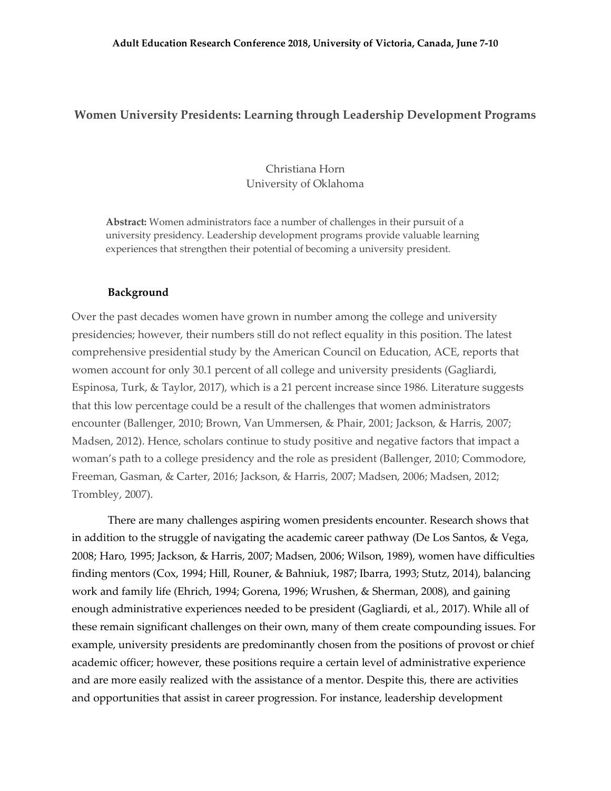## **Women University Presidents: Learning through Leadership Development Programs**

Christiana Horn University of Oklahoma

**Abstract:** Women administrators face a number of challenges in their pursuit of a university presidency. Leadership development programs provide valuable learning experiences that strengthen their potential of becoming a university president.

#### **Background**

Over the past decades women have grown in number among the college and university presidencies; however, their numbers still do not reflect equality in this position. The latest comprehensive presidential study by the American Council on Education, ACE, reports that women account for only 30.1 percent of all college and university presidents (Gagliardi, Espinosa, Turk, & Taylor, 2017), which is a 21 percent increase since 1986. Literature suggests that this low percentage could be a result of the challenges that women administrators encounter (Ballenger, 2010; Brown, Van Ummersen, & Phair, 2001; Jackson, & Harris, 2007; Madsen, 2012). Hence, scholars continue to study positive and negative factors that impact a woman's path to a college presidency and the role as president (Ballenger, 2010; Commodore, Freeman, Gasman, & Carter, 2016; Jackson, & Harris, 2007; Madsen, 2006; Madsen, 2012; Trombley, 2007).

There are many challenges aspiring women presidents encounter. Research shows that in addition to the struggle of navigating the academic career pathway (De Los Santos, & Vega, 2008; Haro, 1995; Jackson, & Harris, 2007; Madsen, 2006; Wilson, 1989), women have difficulties finding mentors (Cox, 1994; Hill, Rouner, & Bahniuk, 1987; Ibarra, 1993; Stutz, 2014), balancing work and family life (Ehrich, 1994; Gorena, 1996; Wrushen, & Sherman, 2008), and gaining enough administrative experiences needed to be president (Gagliardi, et al., 2017). While all of these remain significant challenges on their own, many of them create compounding issues. For example, university presidents are predominantly chosen from the positions of provost or chief academic officer; however, these positions require a certain level of administrative experience and are more easily realized with the assistance of a mentor. Despite this, there are activities and opportunities that assist in career progression. For instance, leadership development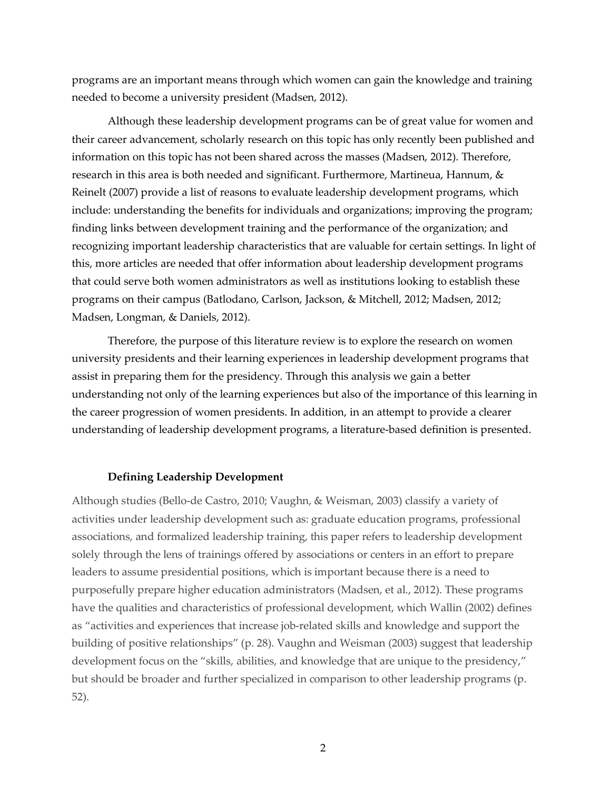programs are an important means through which women can gain the knowledge and training needed to become a university president (Madsen, 2012).

Although these leadership development programs can be of great value for women and their career advancement, scholarly research on this topic has only recently been published and information on this topic has not been shared across the masses (Madsen, 2012). Therefore, research in this area is both needed and significant. Furthermore, Martineua, Hannum, & Reinelt (2007) provide a list of reasons to evaluate leadership development programs, which include: understanding the benefits for individuals and organizations; improving the program; finding links between development training and the performance of the organization; and recognizing important leadership characteristics that are valuable for certain settings. In light of this, more articles are needed that offer information about leadership development programs that could serve both women administrators as well as institutions looking to establish these programs on their campus (Batlodano, Carlson, Jackson, & Mitchell, 2012; Madsen, 2012; Madsen, Longman, & Daniels, 2012).

Therefore, the purpose of this literature review is to explore the research on women university presidents and their learning experiences in leadership development programs that assist in preparing them for the presidency. Through this analysis we gain a better understanding not only of the learning experiences but also of the importance of this learning in the career progression of women presidents. In addition, in an attempt to provide a clearer understanding of leadership development programs, a literature-based definition is presented.

## **Defining Leadership Development**

Although studies (Bello-de Castro, 2010; Vaughn, & Weisman, 2003) classify a variety of activities under leadership development such as: graduate education programs, professional associations, and formalized leadership training, this paper refers to leadership development solely through the lens of trainings offered by associations or centers in an effort to prepare leaders to assume presidential positions, which is important because there is a need to purposefully prepare higher education administrators (Madsen, et al., 2012). These programs have the qualities and characteristics of professional development, which Wallin (2002) defines as "activities and experiences that increase job-related skills and knowledge and support the building of positive relationships" (p. 28). Vaughn and Weisman (2003) suggest that leadership development focus on the "skills, abilities, and knowledge that are unique to the presidency," but should be broader and further specialized in comparison to other leadership programs (p. 52).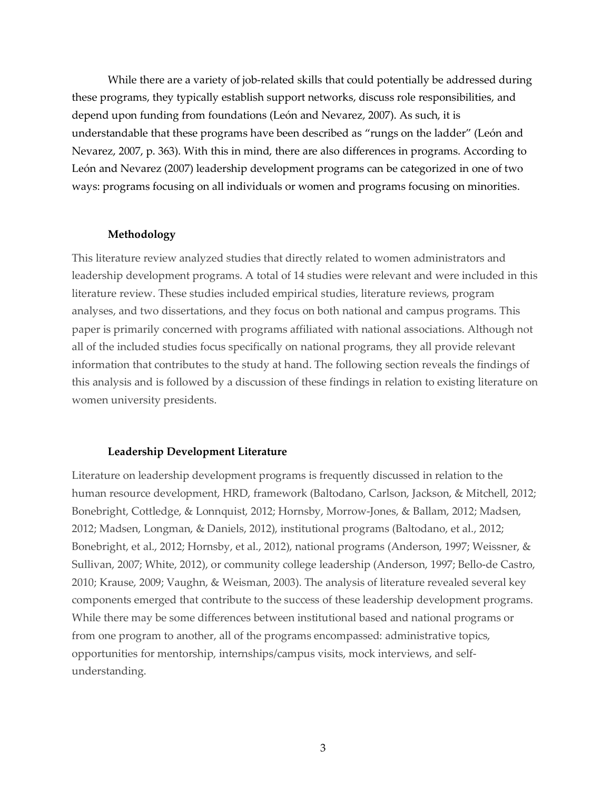While there are a variety of job-related skills that could potentially be addressed during these programs, they typically establish support networks, discuss role responsibilities, and depend upon funding from foundations (León and Nevarez, 2007). As such, it is understandable that these programs have been described as "rungs on the ladder" (León and Nevarez, 2007, p. 363). With this in mind, there are also differences in programs. According to León and Nevarez (2007) leadership development programs can be categorized in one of two ways: programs focusing on all individuals or women and programs focusing on minorities.

## **Methodology**

This literature review analyzed studies that directly related to women administrators and leadership development programs. A total of 14 studies were relevant and were included in this literature review. These studies included empirical studies, literature reviews, program analyses, and two dissertations, and they focus on both national and campus programs. This paper is primarily concerned with programs affiliated with national associations. Although not all of the included studies focus specifically on national programs, they all provide relevant information that contributes to the study at hand. The following section reveals the findings of this analysis and is followed by a discussion of these findings in relation to existing literature on women university presidents.

#### **Leadership Development Literature**

Literature on leadership development programs is frequently discussed in relation to the human resource development, HRD, framework (Baltodano, Carlson, Jackson, & Mitchell, 2012; Bonebright, Cottledge, & Lonnquist, 2012; Hornsby, Morrow-Jones, & Ballam, 2012; Madsen, 2012; Madsen, Longman, & Daniels, 2012), institutional programs (Baltodano, et al., 2012; Bonebright, et al., 2012; Hornsby, et al., 2012), national programs (Anderson, 1997; Weissner, & Sullivan, 2007; White, 2012), or community college leadership (Anderson, 1997; Bello-de Castro, 2010; Krause, 2009; Vaughn, & Weisman, 2003). The analysis of literature revealed several key components emerged that contribute to the success of these leadership development programs. While there may be some differences between institutional based and national programs or from one program to another, all of the programs encompassed: administrative topics, opportunities for mentorship, internships/campus visits, mock interviews, and selfunderstanding.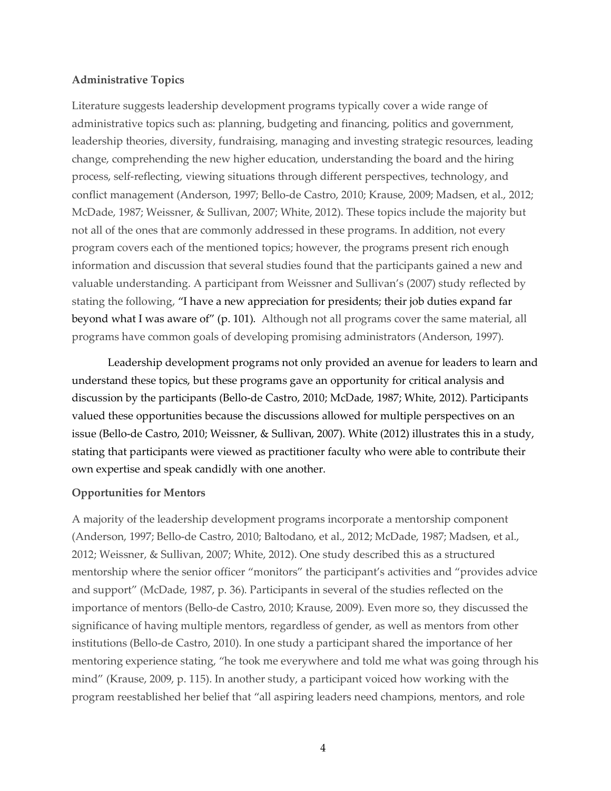## **Administrative Topics**

Literature suggests leadership development programs typically cover a wide range of administrative topics such as: planning, budgeting and financing, politics and government, leadership theories, diversity, fundraising, managing and investing strategic resources, leading change, comprehending the new higher education, understanding the board and the hiring process, self-reflecting, viewing situations through different perspectives, technology, and conflict management (Anderson, 1997; Bello-de Castro, 2010; Krause, 2009; Madsen, et al., 2012; McDade, 1987; Weissner, & Sullivan, 2007; White, 2012). These topics include the majority but not all of the ones that are commonly addressed in these programs. In addition, not every program covers each of the mentioned topics; however, the programs present rich enough information and discussion that several studies found that the participants gained a new and valuable understanding. A participant from Weissner and Sullivan's (2007) study reflected by stating the following, "I have a new appreciation for presidents; their job duties expand far beyond what I was aware of" (p. 101). Although not all programs cover the same material, all programs have common goals of developing promising administrators (Anderson, 1997).

Leadership development programs not only provided an avenue for leaders to learn and understand these topics, but these programs gave an opportunity for critical analysis and discussion by the participants (Bello-de Castro, 2010; McDade, 1987; White, 2012). Participants valued these opportunities because the discussions allowed for multiple perspectives on an issue (Bello-de Castro, 2010; Weissner, & Sullivan, 2007). White (2012) illustrates this in a study, stating that participants were viewed as practitioner faculty who were able to contribute their own expertise and speak candidly with one another.

## **Opportunities for Mentors**

A majority of the leadership development programs incorporate a mentorship component (Anderson, 1997; Bello-de Castro, 2010; Baltodano, et al., 2012; McDade, 1987; Madsen, et al., 2012; Weissner, & Sullivan, 2007; White, 2012). One study described this as a structured mentorship where the senior officer "monitors" the participant's activities and "provides advice and support" (McDade, 1987, p. 36). Participants in several of the studies reflected on the importance of mentors (Bello-de Castro, 2010; Krause, 2009). Even more so, they discussed the significance of having multiple mentors, regardless of gender, as well as mentors from other institutions (Bello-de Castro, 2010). In one study a participant shared the importance of her mentoring experience stating, "he took me everywhere and told me what was going through his mind" (Krause, 2009, p. 115). In another study, a participant voiced how working with the program reestablished her belief that "all aspiring leaders need champions, mentors, and role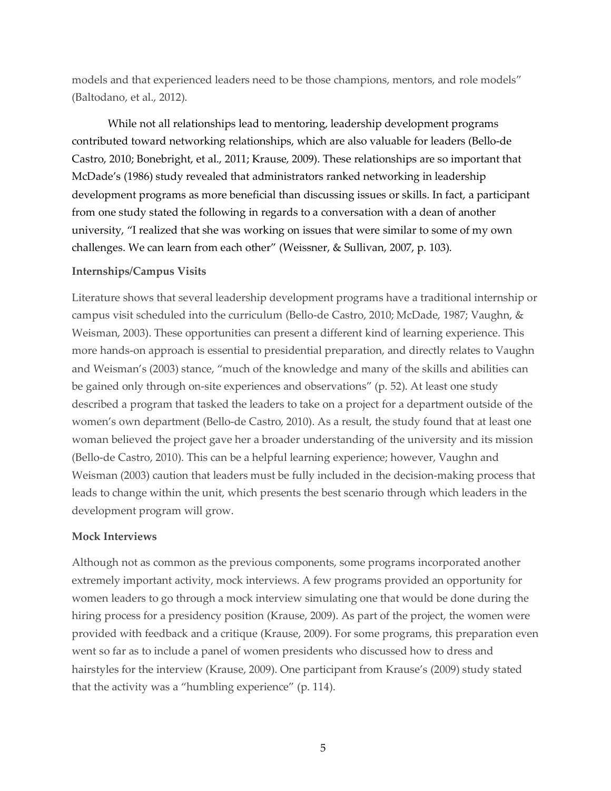models and that experienced leaders need to be those champions, mentors, and role models" (Baltodano, et al., 2012).

While not all relationships lead to mentoring, leadership development programs contributed toward networking relationships, which are also valuable for leaders (Bello-de Castro, 2010; Bonebright, et al., 2011; Krause, 2009). These relationships are so important that McDade's (1986) study revealed that administrators ranked networking in leadership development programs as more beneficial than discussing issues or skills. In fact, a participant from one study stated the following in regards to a conversation with a dean of another university, "I realized that she was working on issues that were similar to some of my own challenges. We can learn from each other" (Weissner, & Sullivan, 2007, p. 103).

## **Internships/Campus Visits**

Literature shows that several leadership development programs have a traditional internship or campus visit scheduled into the curriculum (Bello-de Castro, 2010; McDade, 1987; Vaughn, & Weisman, 2003). These opportunities can present a different kind of learning experience. This more hands-on approach is essential to presidential preparation, and directly relates to Vaughn and Weisman's (2003) stance, "much of the knowledge and many of the skills and abilities can be gained only through on-site experiences and observations" (p. 52). At least one study described a program that tasked the leaders to take on a project for a department outside of the women's own department (Bello-de Castro, 2010). As a result, the study found that at least one woman believed the project gave her a broader understanding of the university and its mission (Bello-de Castro, 2010). This can be a helpful learning experience; however, Vaughn and Weisman (2003) caution that leaders must be fully included in the decision-making process that leads to change within the unit, which presents the best scenario through which leaders in the development program will grow.

## **Mock Interviews**

Although not as common as the previous components, some programs incorporated another extremely important activity, mock interviews. A few programs provided an opportunity for women leaders to go through a mock interview simulating one that would be done during the hiring process for a presidency position (Krause, 2009). As part of the project, the women were provided with feedback and a critique (Krause, 2009). For some programs, this preparation even went so far as to include a panel of women presidents who discussed how to dress and hairstyles for the interview (Krause, 2009). One participant from Krause's (2009) study stated that the activity was a "humbling experience" (p. 114).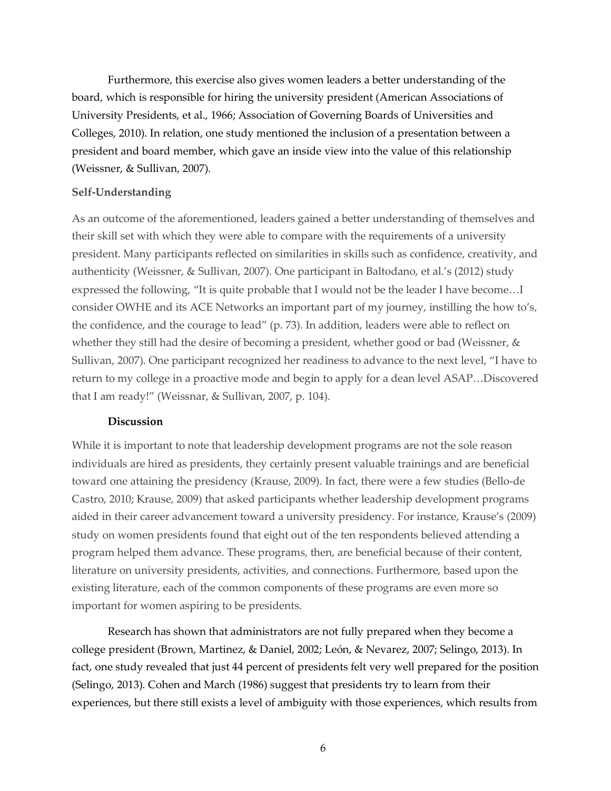Furthermore, this exercise also gives women leaders a better understanding of the board, which is responsible for hiring the university president (American Associations of University Presidents, et al., 1966; Association of Governing Boards of Universities and Colleges, 2010). In relation, one study mentioned the inclusion of a presentation between a president and board member, which gave an inside view into the value of this relationship (Weissner, & Sullivan, 2007).

### **Self-Understanding**

As an outcome of the aforementioned, leaders gained a better understanding of themselves and their skill set with which they were able to compare with the requirements of a university president. Many participants reflected on similarities in skills such as confidence, creativity, and authenticity (Weissner, & Sullivan, 2007). One participant in Baltodano, et al.'s (2012) study expressed the following, "It is quite probable that I would not be the leader I have become…I consider OWHE and its ACE Networks an important part of my journey, instilling the how to's, the confidence, and the courage to lead" (p. 73). In addition, leaders were able to reflect on whether they still had the desire of becoming a president, whether good or bad (Weissner, & Sullivan, 2007). One participant recognized her readiness to advance to the next level, "I have to return to my college in a proactive mode and begin to apply for a dean level ASAP…Discovered that I am ready!" (Weissnar, & Sullivan, 2007, p. 104).

### **Discussion**

While it is important to note that leadership development programs are not the sole reason individuals are hired as presidents, they certainly present valuable trainings and are beneficial toward one attaining the presidency (Krause, 2009). In fact, there were a few studies (Bello-de Castro, 2010; Krause, 2009) that asked participants whether leadership development programs aided in their career advancement toward a university presidency. For instance, Krause's (2009) study on women presidents found that eight out of the ten respondents believed attending a program helped them advance. These programs, then, are beneficial because of their content, literature on university presidents, activities, and connections. Furthermore, based upon the existing literature, each of the common components of these programs are even more so important for women aspiring to be presidents.

Research has shown that administrators are not fully prepared when they become a college president (Brown, Martinez, & Daniel, 2002; León, & Nevarez, 2007; Selingo, 2013). In fact, one study revealed that just 44 percent of presidents felt very well prepared for the position (Selingo, 2013). Cohen and March (1986) suggest that presidents try to learn from their experiences, but there still exists a level of ambiguity with those experiences, which results from

6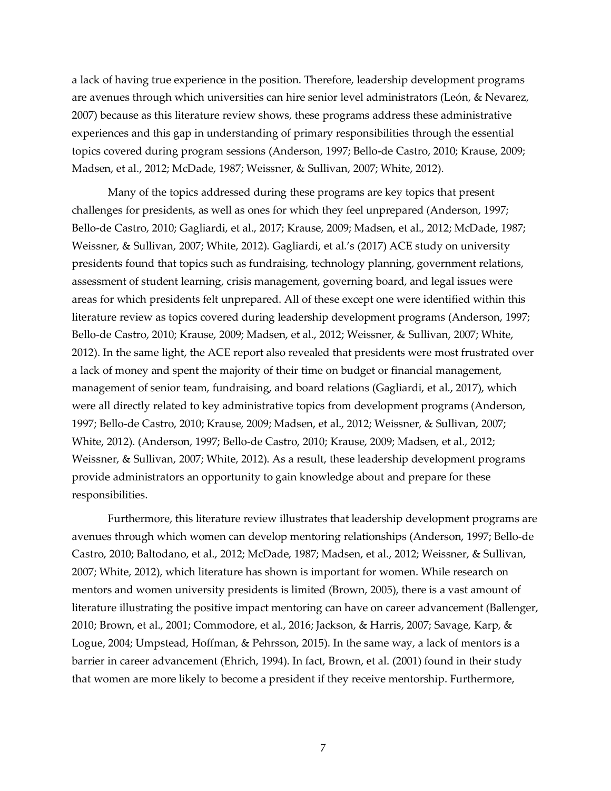a lack of having true experience in the position. Therefore, leadership development programs are avenues through which universities can hire senior level administrators (León, & Nevarez, 2007) because as this literature review shows, these programs address these administrative experiences and this gap in understanding of primary responsibilities through the essential topics covered during program sessions (Anderson, 1997; Bello-de Castro, 2010; Krause, 2009; Madsen, et al., 2012; McDade, 1987; Weissner, & Sullivan, 2007; White, 2012).

Many of the topics addressed during these programs are key topics that present challenges for presidents, as well as ones for which they feel unprepared (Anderson, 1997; Bello-de Castro, 2010; Gagliardi, et al., 2017; Krause, 2009; Madsen, et al., 2012; McDade, 1987; Weissner, & Sullivan, 2007; White, 2012). Gagliardi, et al.'s (2017) ACE study on university presidents found that topics such as fundraising, technology planning, government relations, assessment of student learning, crisis management, governing board, and legal issues were areas for which presidents felt unprepared. All of these except one were identified within this literature review as topics covered during leadership development programs (Anderson, 1997; Bello-de Castro, 2010; Krause, 2009; Madsen, et al., 2012; Weissner, & Sullivan, 2007; White, 2012). In the same light, the ACE report also revealed that presidents were most frustrated over a lack of money and spent the majority of their time on budget or financial management, management of senior team, fundraising, and board relations (Gagliardi, et al., 2017), which were all directly related to key administrative topics from development programs (Anderson, 1997; Bello-de Castro, 2010; Krause, 2009; Madsen, et al., 2012; Weissner, & Sullivan, 2007; White, 2012). (Anderson, 1997; Bello-de Castro, 2010; Krause, 2009; Madsen, et al., 2012; Weissner, & Sullivan, 2007; White, 2012). As a result, these leadership development programs provide administrators an opportunity to gain knowledge about and prepare for these responsibilities.

Furthermore, this literature review illustrates that leadership development programs are avenues through which women can develop mentoring relationships (Anderson, 1997; Bello-de Castro, 2010; Baltodano, et al., 2012; McDade, 1987; Madsen, et al., 2012; Weissner, & Sullivan, 2007; White, 2012), which literature has shown is important for women. While research on mentors and women university presidents is limited (Brown, 2005), there is a vast amount of literature illustrating the positive impact mentoring can have on career advancement (Ballenger, 2010; Brown, et al., 2001; Commodore, et al., 2016; Jackson, & Harris, 2007; Savage, Karp, & Logue, 2004; Umpstead, Hoffman, & Pehrsson, 2015). In the same way, a lack of mentors is a barrier in career advancement (Ehrich, 1994). In fact, Brown, et al. (2001) found in their study that women are more likely to become a president if they receive mentorship. Furthermore,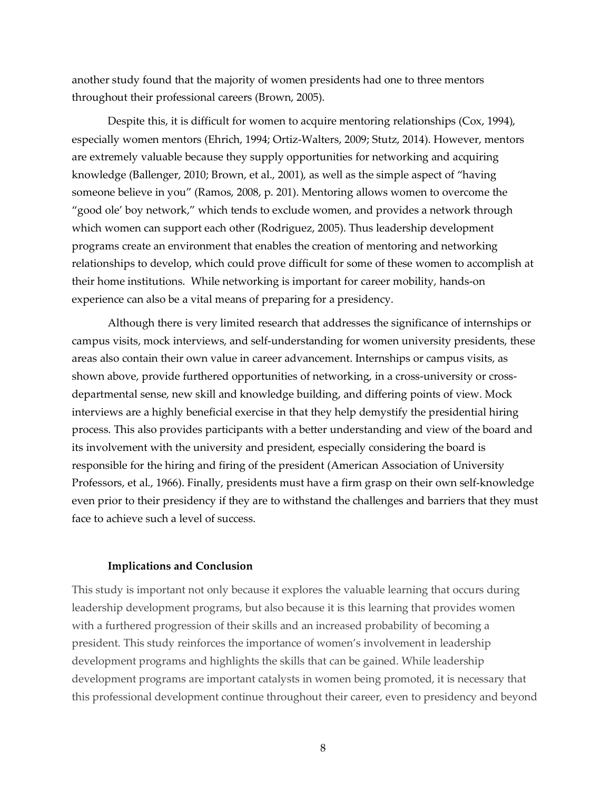another study found that the majority of women presidents had one to three mentors throughout their professional careers (Brown, 2005).

Despite this, it is difficult for women to acquire mentoring relationships (Cox, 1994), especially women mentors (Ehrich, 1994; Ortiz-Walters, 2009; Stutz, 2014). However, mentors are extremely valuable because they supply opportunities for networking and acquiring knowledge (Ballenger, 2010; Brown, et al., 2001), as well as the simple aspect of "having someone believe in you" (Ramos, 2008, p. 201). Mentoring allows women to overcome the "good ole' boy network," which tends to exclude women, and provides a network through which women can support each other (Rodriguez, 2005). Thus leadership development programs create an environment that enables the creation of mentoring and networking relationships to develop, which could prove difficult for some of these women to accomplish at their home institutions. While networking is important for career mobility, hands-on experience can also be a vital means of preparing for a presidency.

Although there is very limited research that addresses the significance of internships or campus visits, mock interviews, and self-understanding for women university presidents, these areas also contain their own value in career advancement. Internships or campus visits, as shown above, provide furthered opportunities of networking, in a cross-university or crossdepartmental sense, new skill and knowledge building, and differing points of view. Mock interviews are a highly beneficial exercise in that they help demystify the presidential hiring process. This also provides participants with a better understanding and view of the board and its involvement with the university and president, especially considering the board is responsible for the hiring and firing of the president (American Association of University Professors, et al., 1966). Finally, presidents must have a firm grasp on their own self-knowledge even prior to their presidency if they are to withstand the challenges and barriers that they must face to achieve such a level of success.

#### **Implications and Conclusion**

This study is important not only because it explores the valuable learning that occurs during leadership development programs, but also because it is this learning that provides women with a furthered progression of their skills and an increased probability of becoming a president. This study reinforces the importance of women's involvement in leadership development programs and highlights the skills that can be gained. While leadership development programs are important catalysts in women being promoted, it is necessary that this professional development continue throughout their career, even to presidency and beyond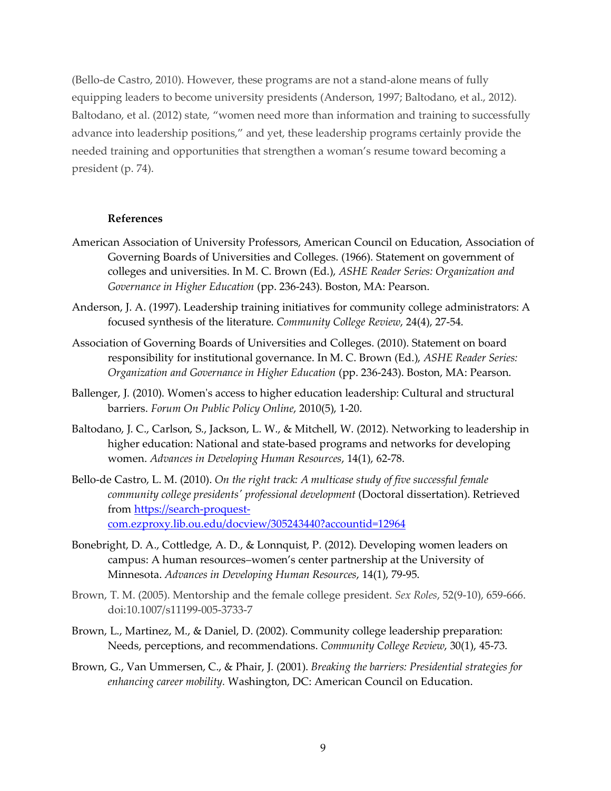(Bello-de Castro, 2010). However, these programs are not a stand-alone means of fully equipping leaders to become university presidents (Anderson, 1997; Baltodano, et al., 2012). Baltodano, et al. (2012) state, "women need more than information and training to successfully advance into leadership positions," and yet, these leadership programs certainly provide the needed training and opportunities that strengthen a woman's resume toward becoming a president (p. 74).

## **References**

- American Association of University Professors, American Council on Education, Association of Governing Boards of Universities and Colleges. (1966). Statement on government of colleges and universities. In M. C. Brown (Ed.), *ASHE Reader Series: Organization and Governance in Higher Education* (pp. 236-243). Boston, MA: Pearson.
- Anderson, J. A. (1997). Leadership training initiatives for community college administrators: A focused synthesis of the literature. *Community College Review*, 24(4), 27-54.
- Association of Governing Boards of Universities and Colleges. (2010). Statement on board responsibility for institutional governance. In M. C. Brown (Ed.), *ASHE Reader Series: Organization and Governance in Higher Education* (pp. 236-243). Boston, MA: Pearson.
- Ballenger, J. (2010). Women's access to higher education leadership: Cultural and structural barriers. *Forum On Public Policy Online*, 2010(5), 1-20.
- Baltodano, J. C., Carlson, S., Jackson, L. W., & Mitchell, W. (2012). Networking to leadership in higher education: National and state-based programs and networks for developing women. *Advances in Developing Human Resources*, 14(1), 62-78.
- Bello-de Castro, L. M. (2010). *On the right track: A multicase study of five successful female community college presidents' professional development* (Doctoral dissertation). Retrieved from https://search-proquestcom.ezproxy.lib.ou.edu/docview/305243440?accountid=12964
- Bonebright, D. A., Cottledge, A. D., & Lonnquist, P. (2012). Developing women leaders on campus: A human resources–women's center partnership at the University of Minnesota. *Advances in Developing Human Resources*, 14(1), 79-95.
- Brown, T. M. (2005). Mentorship and the female college president. *Sex Roles*, 52(9-10), 659-666. doi:10.1007/s11199-005-3733-7
- Brown, L., Martinez, M., & Daniel, D. (2002). Community college leadership preparation: Needs, perceptions, and recommendations. *Community College Review*, 30(1), 45-73.
- Brown, G., Van Ummersen, C., & Phair, J. (2001). *Breaking the barriers: Presidential strategies for enhancing career mobility.* Washington, DC: American Council on Education.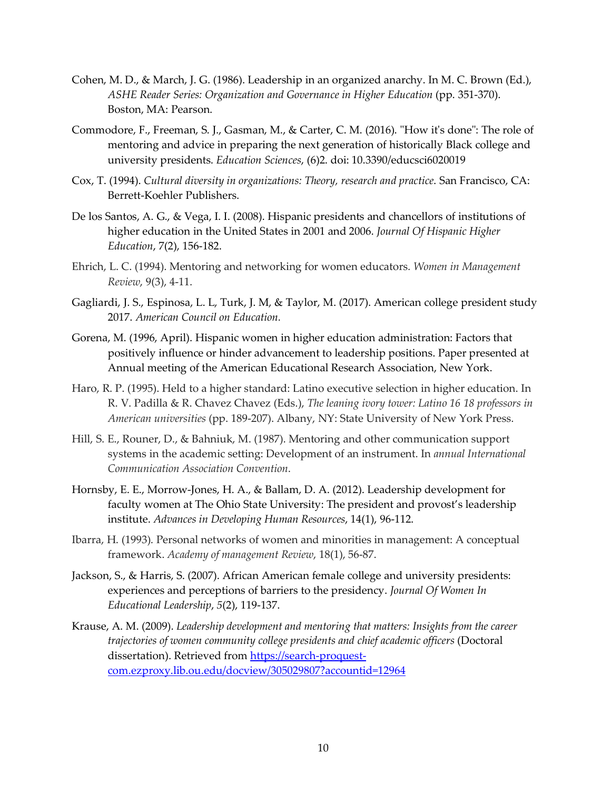- Cohen, M. D., & March, J. G. (1986). Leadership in an organized anarchy. In M. C. Brown (Ed.), *ASHE Reader Series: Organization and Governance in Higher Education* (pp. 351-370). Boston, MA: Pearson.
- Commodore, F., Freeman, S. J., Gasman, M., & Carter, C. M. (2016). "How it's done": The role of mentoring and advice in preparing the next generation of historically Black college and university presidents. *Education Sciences*, (6)2. doi: 10.3390/educsci6020019
- Cox, T. (1994). *Cultural diversity in organizations: Theory, research and practice*. San Francisco, CA: Berrett-Koehler Publishers.
- De los Santos, A. G., & Vega, I. I. (2008). Hispanic presidents and chancellors of institutions of higher education in the United States in 2001 and 2006. *Journal Of Hispanic Higher Education*, 7(2), 156-182.
- Ehrich, L. C. (1994). Mentoring and networking for women educators. *Women in Management Review*, 9(3), 4-11.
- Gagliardi, J. S., Espinosa, L. L, Turk, J. M, & Taylor, M. (2017). American college president study 2017. *American Council on Education.*
- Gorena, M. (1996, April). Hispanic women in higher education administration: Factors that positively influence or hinder advancement to leadership positions. Paper presented at Annual meeting of the American Educational Research Association, New York.
- Haro, R. P. (1995). Held to a higher standard: Latino executive selection in higher education. In R. V. Padilla & R. Chavez Chavez (Eds.), *The leaning ivory tower: Latino 16 18 professors in American universities* (pp. 189-207). Albany, NY: State University of New York Press.
- Hill, S. E., Rouner, D., & Bahniuk, M. (1987). Mentoring and other communication support systems in the academic setting: Development of an instrument. In *annual International Communication Association Convention*.
- Hornsby, E. E., Morrow-Jones, H. A., & Ballam, D. A. (2012). Leadership development for faculty women at The Ohio State University: The president and provost's leadership institute. *Advances in Developing Human Resources*, 14(1), 96-112.
- Ibarra, H. (1993). Personal networks of women and minorities in management: A conceptual framework. *Academy of management Review*, 18(1), 56-87.
- Jackson, S., & Harris, S. (2007). African American female college and university presidents: experiences and perceptions of barriers to the presidency. *Journal Of Women In Educational Leadership*, *5*(2), 119-137.
- Krause, A. M. (2009). *Leadership development and mentoring that matters: Insights from the career trajectories of women community college presidents and chief academic officers* (Doctoral dissertation). Retrieved from https://search-proquestcom.ezproxy.lib.ou.edu/docview/305029807?accountid=12964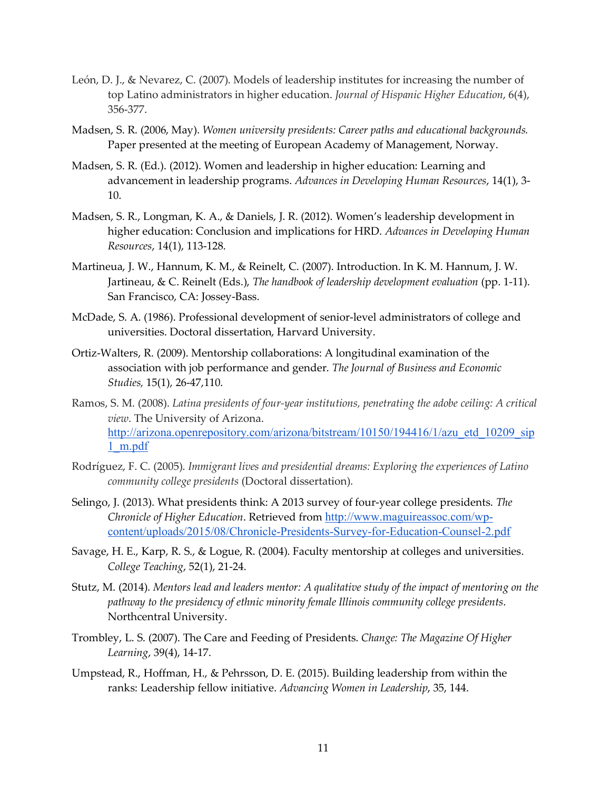- León, D. J., & Nevarez, C. (2007). Models of leadership institutes for increasing the number of top Latino administrators in higher education. *Journal of Hispanic Higher Education*, 6(4), 356-377.
- Madsen, S. R. (2006, May). *Women university presidents: Career paths and educational backgrounds.* Paper presented at the meeting of European Academy of Management, Norway.
- Madsen, S. R. (Ed.). (2012). Women and leadership in higher education: Learning and advancement in leadership programs. *Advances in Developing Human Resources*, 14(1), 3- 10.
- Madsen, S. R., Longman, K. A., & Daniels, J. R. (2012). Women's leadership development in higher education: Conclusion and implications for HRD. *Advances in Developing Human Resources*, 14(1), 113-128.
- Martineua, J. W., Hannum, K. M., & Reinelt, C. (2007). Introduction. In K. M. Hannum, J. W. Jartineau, & C. Reinelt (Eds.), *The handbook of leadership development evaluation* (pp. 1-11). San Francisco, CA: Jossey-Bass.
- McDade, S. A. (1986). Professional development of senior-level administrators of college and universities. Doctoral dissertation, Harvard University.
- Ortiz-Walters, R. (2009). Mentorship collaborations: A longitudinal examination of the association with job performance and gender. *The Journal of Business and Economic Studies,* 15(1), 26-47,110.
- Ramos, S. M. (2008). *Latina presidents of four-year institutions, penetrating the adobe ceiling: A critical view*. The University of Arizona. http://arizona.openrepository.com/arizona/bitstream/10150/194416/1/azu etd 10209 sip 1\_m.pdf
- Rodríguez, F. C. (2005). *Immigrant lives and presidential dreams: Exploring the experiences of Latino community college presidents* (Doctoral dissertation).
- Selingo, J. (2013). What presidents think: A 2013 survey of four-year college presidents. *The Chronicle of Higher Education*. Retrieved from http://www.maguireassoc.com/wpcontent/uploads/2015/08/Chronicle-Presidents-Survey-for-Education-Counsel-2.pdf
- Savage, H. E., Karp, R. S., & Logue, R. (2004). Faculty mentorship at colleges and universities. *College Teaching*, 52(1), 21-24.
- Stutz, M. (2014). *Mentors lead and leaders mentor: A qualitative study of the impact of mentoring on the pathway to the presidency of ethnic minority female Illinois community college presidents*. Northcentral University.
- Trombley, L. S. (2007). The Care and Feeding of Presidents. *Change: The Magazine Of Higher Learning*, 39(4), 14-17.
- Umpstead, R., Hoffman, H., & Pehrsson, D. E. (2015). Building leadership from within the ranks: Leadership fellow initiative. *Advancing Women in Leadership*, 35, 144.